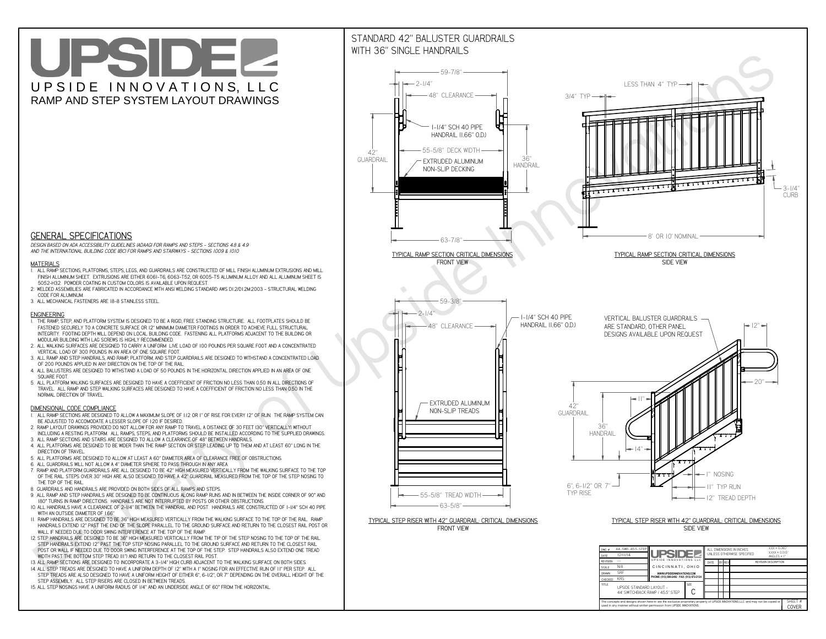**CThe concepts and designs shown here-in are the exclusive proprietary property of UPSIDE INNOVATIONS LLC. and may not be copied or**

 $\blacksquare$ 

**H** 

**used in any manner without written permission from UPSIDE INNOVATIONS.**

# UPSIDEL UPSIDE INNOVATIONS, LLC RAMP AND STEP SYSTEM LAYOUT DRAWINGS

SHEET #**COVER**

44' SWITCHBACK RAMP / 45.5" STEP

## STANDARD 42" BALUSTER GUARDRAILSWITH 36" SINGLE HANDRAILS



**TITLE UPSIDE STANDARD LAYOUT -**



 *DESIGN BASED ON ADA ACCESSIBILITY GUIDELINES (ADAAG) FOR RAMPS AND STEPS - SECTIONS 4.8 & 4.9AND THE INTERNATIONAL BUILDING CODE (IBC) FOR RAMPS AND STAIRWAYS - SECTIONS 1009 & 1010*

#### **MATERIALS**

- **1. ALL RAMP SECTIONS, PLATFORMS, STEPS, LEGS, AND GUARDRAILS ARE CONSTRUCTED OF MILL FINISH ALUMINUM EXTRUSIONS AND MILL FINISH ALUMINUM SHEET. EXTRUSIONS ARE EITHER 6061-T6, 6063-T52, OR 6005-T5 ALUMINUM ALLOY AND ALL ALUMINUM SHEET IS 5052-H32. POWDER COATING IN CUSTOM COLORS IS AVAILABLE UPON REQUEST.**
- **2. WELDED ASSEMBLIES ARE FABRICATED IN ACCORDANCE WITH ANSI WELDING STANDARD AWS D1.2/D1.2M:2003 STRUCTURAL WELDING CODE FOR ALUMINUM.**
- **3. ALL MECHANICAL FASTENERS ARE 18-8 STAINLESS STEEL.**

#### **ENGINEERING**

- **1. THE RAMP, STEP, AND PLATFORM SYSTEM IS DESIGNED TO BE A RIGID, FREE STANDING STRUCTURE. ALL FOOTPLATES SHOULD BE FASTENED SECURELY TO A CONCRETE SURFACE OR 12" MINIMUM DIAMETER FOOTINGS IN ORDER TO ACHIEVE FULL STRUCTURAL INTEGRITY. FOOTING DEPTH WILL DEPEND ON LOCAL BUILDING CODE. FASTENING ALL PLATFORMS ADJACENT TO THE BUILDING OR MODULAR BUILDING WITH LAG SCREWS IS HIGHLY RECOMMENDED.**
- **2. ALL WALKING SURFACES ARE DESIGNED TO CARRY A UNIFORM LIVE LOAD OF 100 POUNDS PER SQUARE FOOT AND A CONCENTRATED VERTICAL LOAD OF 300 POUNDS IN AN AREA OF ONE SQUARE FOOT.**
- **3. ALL RAMP AND STEP HANDRAILS, AND RAMP, PLATFORM, AND STEP GUARDRAILS ARE DESIGNED TO WITHSTAND A CONCENTRATED LOAD OF 200 POUNDS APPLIED IN ANY DIRECTION ON THE TOP OF THE RAIL.**
- **4. ALL BALUSTERS ARE DESIGNED TO WITHSTAND A LOAD OF 50 POUNDS IN THE HORIZONTAL DIRECTION APPLIED IN AN AREA OF ONE SQUARE FOOT.**
- **5. ALL PLATFORM WALKING SURFACES ARE DESIGNED TO HAVE A COEFFICIENT OF FRICTION NO LESS THAN 0.50 IN ALL DIRECTIONS OF TRAVEL. ALL RAMP AND STEP WALKING SURFACES ARE DESIGNED TO HAVE A COEFFICIENT OF FRICTION NO LESS THAN 0.50 IN THE NORMAL DIRECTION OF TRAVEL.**

### **DIMENSIONAL CODE COMPLIANCE**

- **1. ALL RAMP SECTIONS ARE DESIGNED TO ALLOW A MAXIMUM SLOPE OF 1:12 OR 1" OF RISE FOR EVERY 12" OF RUN. THE RAMP SYSTEM CAN BE ADJUSTED TO ACCOMODATE A LESSER SLOPE OF 1:20 IF DESIRED.**
- **2. RAMP LAYOUT DRAWINGS PROVIDED DO NOT ALLOW FOR ANY RAMP TO TRAVEL A DISTANCE OF 30 FEET (30" VERTICALLY) WITHOUT INCLUDING A RESTING PLATFORM. ALL RAMPS, STEPS, AND PLATFORMS SHOULD BE INSTALLED ACCORDING TO THE SUPPLIED DRAWINGS.**
- **3. ALL RAMP SECTIONS AND STAIRS ARE DESIGNED TO ALLOW A CLEARANCE OF 48" BETWEEN HANDRAILS.**
- **4. ALL PLATFORMS ARE DESIGNED TO BE WIDER THAN THE RAMP SECTION OR STEP LEADING UP TO THEM AND AT LEAST 60" LONG IN THE DIRECTION OF TRAVEL.**
- **5. ALL PLATFORMS ARE DESIGNED TO ALLOW AT LEAST A 60" DIAMETER AREA OF CLEARANCE FREE OF OBSTRUCTIONS.**
- **6. ALL GUARDRAILS WILL NOT ALLOW A 4" DIAMETER SPHERE TO PASS THROUGH IN ANY AREA.**
- **7. RAMP AND PLATFORM GUARDRAILS ARE ALL DESIGNED TO BE 42" HIGH MEASURED VERTICALLY FROM THE WALKING SURFACE TO THE TOP OF THE RAIL. STEPS OVER 30" HIGH ARE ALSO DESIGNED TO HAVE A 42" GUARDRAIL MEASURED FROM THE TOP OF THE STEP NOSING TO THE TOP OF THE RAIL.**
- **8. GUARDRAILS AND HANDRAILS ARE PROVIDED ON BOTH SIDES OF ALL RAMPS AND STEPS.**
- **9. ALL RAMP AND STEP HANDRAILS ARE DESIGNED TO BE CONTINUOUS ALONG RAMP RUNS AND IN BETWEEN THE INSIDE CORNER OF 90° AND 180° TURNS IN RAMP DIRECTIONS. HANDRAILS ARE NOT INTERRUPTED BY POSTS OR OTHER OBSTRUCTIONS.**
- **10. ALL HANDRAILS HAVE A CLEARANCE OF 2-1/4" BETWEEN THE HANDRAIL AND POST. HANDRAILS ARE CONSTRUCTED OF 1-1/4" SCH 40 PIPE WITH AN OUTSIDE DIAMETER OF 1.66"**
- **11. RAMP HANDRAILS ARE DESIGNED TO BE 36" HIGH MEASURED VERTICALLY FROM THE WALKING SURFACE TO THE TOP OF THE RAIL. RAMP HANDRAILS EXTEND 12" PAST THE END OF THE SLOPE PARALLEL TO THE GROUND SURFACE AND RETURN TO THE CLOSEST RAIL POST OR WALL IF NEEDED DUE TO DOOR SWING INTERFERENCE AT THE TOP OF THE RAMP.**
- **12. STEP HANDRAILS ARE DESIGNED TO BE 36" HIGH MEASURED VERTICALLY FROM THE TIP OF THE STEP NOSING TO THE TOP OF THE RAIL. STEP HANDRAILS EXTEND 12" PAST THE TOP STEP NOSING PARALLEL TO THE GROUND SURFACE AND RETURN TO THE CLOSEST RAIL POST OR WALL IF NEEDED DUE TO DOOR SWING INTERFERENCE AT THE TOP OF THE STEP. STEP HANDRAILS ALSO EXTEND ONE TREAD WIDTH PAST THE BOTTOM STEP TREAD (11") AND RETURN TO THE CLOSEST RAIL POST.**
- **13. ALL RAMP SECTIONS ARE DESIGNED TO INCORPORATE A 3-1/4" HIGH CURB ADJACENT TO THE WALKING SURFACE ON BOTH SIDES.**
- **14. ALL STEP TREADS ARE DESIGNED TO HAVE A UNIFORM DEPTH OF 12" WITH A 1" NOSING FOR AN EFFECTIVE RUN OF 11" PER STEP. ALL**
- **STEP TREADS ARE ALSO DESIGNED TO HAVE A UNIFORM HEIGHT OF EITHER 6", 6-1/2", OR 7" DEPENDING ON THE OVERALL HEIGHT OF THE STEP ASSEMBLY. ALL STEP RISERS ARE CLOSED IN BETWEEN TREADS.**
- **15. ALL STEP NOSINGS HAVE A UNIFORM RADIUS OF 1/4" AND AN UNDERSIDE ANGLE OF 60° FROM THE HORIZONTAL.**